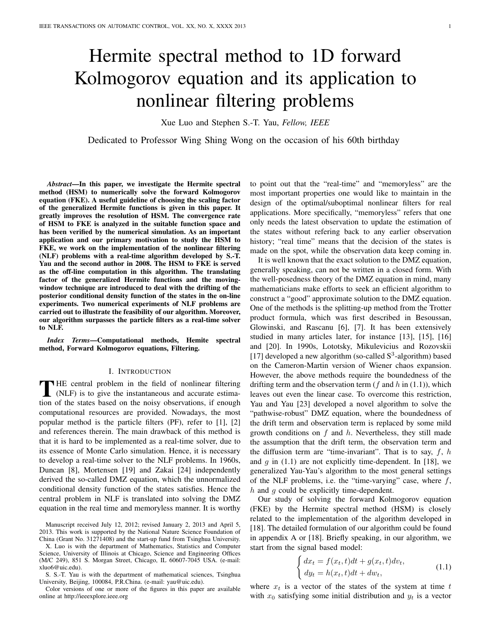# Hermite spectral method to 1D forward Kolmogorov equation and its application to nonlinear filtering problems

Xue Luo and Stephen S.-T. Yau, *Fellow, IEEE*

Dedicated to Professor Wing Shing Wong on the occasion of his 60th birthday

*Abstract*—In this paper, we investigate the Hermite spectral method (HSM) to numerically solve the forward Kolmogorov equation (FKE). A useful guideline of choosing the scaling factor of the generalized Hermite functions is given in this paper. It greatly improves the resolution of HSM. The convergence rate of HSM to FKE is analyzed in the suitable function space and has been verified by the numerical simulation. As an important application and our primary motivation to study the HSM to FKE, we work on the implementation of the nonlinear filtering (NLF) problems with a real-time algorithm developed by S.-T. Yau and the second author in 2008. The HSM to FKE is served as the off-line computation in this algorithm. The translating factor of the generalized Hermite functions and the movingwindow technique are introduced to deal with the drifting of the posterior conditional density function of the states in the on-line experiments. Two numerical experiments of NLF problems are carried out to illustrate the feasibility of our algorithm. Moreover, our algorithm surpasses the particle filters as a real-time solver to NLF.

*Index Terms*—Computational methods, Hemite spectral method, Forward Kolmogorov equations, Filtering.

#### I. INTRODUCTION

THE central problem in the field of nonlinear filtering<br>(NLF) is to give the instantaneous and accurate estima-<br>tion of the states hand an the minu absorption if smooth **THE** central problem in the field of nonlinear filtering tion of the states based on the noisy observations, if enough computational resources are provided. Nowadays, the most popular method is the particle filters (PF), refer to [1], [2] and references therein. The main drawback of this method is that it is hard to be implemented as a real-time solver, due to its essence of Monte Carlo simulation. Hence, it is necessary to develop a real-time solver to the NLF problems. In 1960s, Duncan [8], Mortensen [19] and Zakai [24] independently derived the so-called DMZ equation, which the unnormalized conditional density function of the states satisfies. Hence the central problem in NLF is translated into solving the DMZ equation in the real time and memoryless manner. It is worthy

Manuscript received July 12, 2012; revised January 2, 2013 and April 5, 2013. This work is supported by the National Nature Science Foundation of China (Grant No. 31271408) and the start-up fund from Tsinghua University.

X. Luo is with the department of Mathematics, Statistics and Computer Science, University of Illinois at Chicago, Science and Engineering Offices (M/C 249), 851 S. Morgan Street, Chicago, IL 60607-7045 USA. (e-mail: xluo6@uic.edu).

S. S.-T. Yau is with the department of mathematical sciences, Tsinghua University, Beijing, 100084, P.R.China. (e-mail: yau@uic.edu).

Color versions of one or more of the figures in this paper are available online at http://ieeexplore.ieee.org

to point out that the "real-time" and "memoryless" are the most important properties one would like to maintain in the design of the optimal/suboptimal nonlinear filters for real applications. More specifically, "memoryless" refers that one only needs the latest observation to update the estimation of the states without refering back to any earlier observation history; "real time" means that the decision of the states is made on the spot, while the observation data keep coming in.

It is well known that the exact solution to the DMZ equation, generally speaking, can not be written in a closed form. With the well-posedness theory of the DMZ equation in mind, many mathematicians make efforts to seek an efficient algorithm to construct a "good" approximate solution to the DMZ equation. One of the methods is the splitting-up method from the Trotter product formula, which was first described in Besoussan, Glowinski, and Rascanu [6], [7]. It has been extensively studied in many articles later, for instance [13], [15], [16] and [20]. In 1990s, Lototsky, Mikulevicius and Rozovskii [17] developed a new algorithm (so-called  $S<sup>3</sup>$ -algorithm) based on the Cameron-Martin version of Wiener chaos expansion. However, the above methods require the boundedness of the drifting term and the observation term (f and h in  $(1.1)$ ), which leaves out even the linear case. To overcome this restriction, Yau and Yau [23] developed a novel algorithm to solve the "pathwise-robust" DMZ equation, where the boundedness of the drift term and observation term is replaced by some mild growth conditions on  $f$  and  $h$ . Nevertheless, they still made the assumption that the drift term, the observation term and the diffusion term are "time-invariant". That is to say,  $f$ ,  $h$ and  $q$  in (1.1) are not explicitly time-dependent. In [18], we generalized Yau-Yau's algorithm to the most general settings of the NLF problems, i.e. the "time-varying" case, where  $f$ ,  $h$  and  $g$  could be explicitly time-dependent.

Our study of solving the forward Kolmogorov equation (FKE) by the Hermite spectral method (HSM) is closely related to the implementation of the algorithm developed in [18]. The detailed formulation of our algorithm could be found in appendix A or [18]. Briefly speaking, in our algorithm, we start from the signal based model:

$$
\begin{cases} dx_t = f(x_t, t)dt + g(x_t, t)dv_t, \\ dy_t = h(x_t, t)dt + dw_t, \end{cases}
$$
\n(1.1)

where  $x_t$  is a vector of the states of the system at time t with  $x_0$  satisfying some initial distribution and  $y_t$  is a vector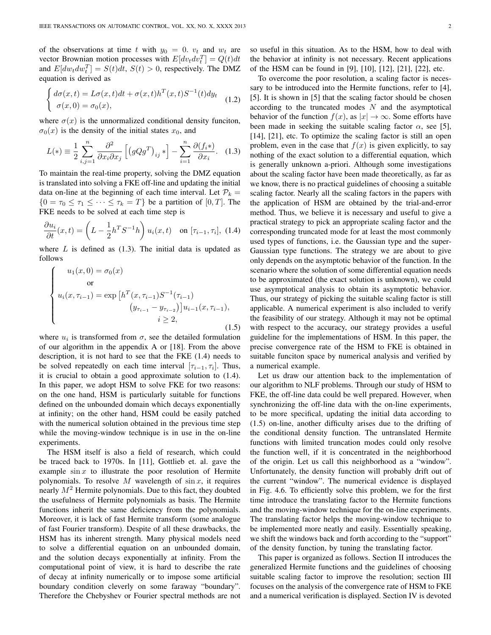of the observations at time t with  $y_0 = 0$ .  $v_t$  and  $w_t$  are vector Brownian motion processes with  $E[dv_t dv_t^T] = Q(t)dt$ and  $E[dw_t dw_t^T] = S(t)dt$ ,  $S(t) > 0$ , respectively. The DMZ equation is derived as

$$
\begin{cases}\nd\sigma(x,t) = L\sigma(x,t)dt + \sigma(x,t)h^T(x,t)S^{-1}(t)dy_t \\
\sigma(x,0) = \sigma_0(x),\n\end{cases}
$$
\n(1.2)

where  $\sigma(x)$  is the unnormalized conditional density funciton,  $\sigma_0(x)$  is the density of the initial states  $x_0$ , and

$$
L(*) \equiv \frac{1}{2} \sum_{i,j=1}^{n} \frac{\partial^2}{\partial x_i \partial x_j} \left[ \left( g Q g^T \right)_{ij} * \right] - \sum_{i=1}^{n} \frac{\partial (f_i*)}{\partial x_i}. \quad (1.3)
$$

To maintain the real-time property, solving the DMZ equation is translated into solving a FKE off-line and updating the initial data on-line at the beginning of each time interval. Let  $P_k =$  ${0 = \tau_0 \leq \tau_1 \leq \cdots \leq \tau_k = T}$  be a partition of [0, T]. The FKE needs to be solved at each time step is

$$
\frac{\partial u_i}{\partial t}(x,t) = \left(L - \frac{1}{2}h^T S^{-1} h\right) u_i(x,t) \quad \text{on } [\tau_{i-1}, \tau_i], \tag{1.4}
$$

where  $L$  is defined as  $(1.3)$ . The initial data is updated as follows

$$
\begin{cases}\nu_1(x,0) = \sigma_0(x) \\
\text{or} \\
u_i(x,\tau_{i-1}) = \exp\left[h^T(x,\tau_{i-1})S^{-1}(\tau_{i-1})\right] \\
(y_{\tau_{i-1}} - y_{\tau_{i-2}})\right]u_{i-1}(x,\tau_{i-1}), \\
i \ge 2,\n\end{cases} (1.5)
$$

where  $u_i$  is transformed from  $\sigma$ , see the detailed formulation of our algorithm in the appendix A or [18]. From the above description, it is not hard to see that the FKE (1.4) needs to be solved repeatedly on each time interval  $[\tau_{i-1}, \tau_i]$ . Thus, it is crucial to obtain a good approximate solution to (1.4). In this paper, we adopt HSM to solve FKE for two reasons: on the one hand, HSM is particularly suitable for functions defined on the unbounded domain which decays exponentially at infinity; on the other hand, HSM could be easily patched with the numerical solution obtained in the previous time step while the moving-window technique is in use in the on-line experiments.

The HSM itself is also a field of research, which could be traced back to 1970s. In [11], Gottlieb et. al. gave the example  $\sin x$  to illustrate the poor resolution of Hermite polynomials. To resolve M wavelength of  $\sin x$ , it requires nearly  $M<sup>2</sup>$  Hermite polynomials. Due to this fact, they doubted the usefulness of Hermite polynomials as basis. The Hermite functions inherit the same deficiency from the polynomials. Moreover, it is lack of fast Hermite transform (some analogue of fast Fourier transform). Despite of all these drawbacks, the HSM has its inherent strength. Many physical models need to solve a differential equation on an unbounded domain, and the solution decays exponentially at infinity. From the computational point of view, it is hard to describe the rate of decay at infinity numerically or to impose some artificial boundary condition cleverly on some faraway "boundary". Therefore the Chebyshev or Fourier spectral methods are not so useful in this situation. As to the HSM, how to deal with the behavior at infinity is not necessary. Recent applications of the HSM can be found in [9], [10], [12], [21], [22], etc.

To overcome the poor resolution, a scaling factor is necessary to be introduced into the Hermite functions, refer to [4], [5]. It is shown in [5] that the scaling factor should be chosen according to the truncated modes  $N$  and the asymptotical behavior of the function  $f(x)$ , as  $|x| \to \infty$ . Some efforts have been made in seeking the suitable scaling factor  $\alpha$ , see [5], [14], [21], etc. To optimize the scaling factor is still an open problem, even in the case that  $f(x)$  is given explicitly, to say nothing of the exact solution to a differential equation, which is generally unknown a-priori. Although some investigations about the scaling factor have been made theoretically, as far as we know, there is no practical guidelines of choosing a suitable scaling factor. Nearly all the scaling factors in the papers with the application of HSM are obtained by the trial-and-error method. Thus, we believe it is necessary and useful to give a practical strategy to pick an appropriate scaling factor and the corresponding truncated mode for at least the most commonly used types of functions, i.e. the Gaussian type and the super-Gaussian type functions. The strategy we are about to give only depends on the asymptotic behavior of the function. In the scenario where the solution of some differential equation needs to be approximated (the exact solution is unknown), we could use asymptotical analysis to obtain its asymptotic behavior. Thus, our strategy of picking the suitable scaling factor is still applicable. A numerical experiment is also included to verify the feasibility of our strategy. Although it may not be optimal with respect to the accuracy, our strategy provides a useful guideline for the implementations of HSM. In this paper, the precise convergence rate of the HSM to FKE is obtained in suitable funciton space by numerical analysis and verified by a numerical example.

Let us draw our attention back to the implementation of our algorithm to NLF problems. Through our study of HSM to FKE, the off-line data could be well prepared. However, when synchronizing the off-line data with the on-line experiments, to be more specifical, updating the initial data according to (1.5) on-line, another difficulty arises due to the drifting of the conditional density function. The untranslated Hermite functions with limited truncation modes could only resolve the function well, if it is concentrated in the neighborhood of the origin. Let us call this neighborhood as a "window". Unfortunately, the density function will probably drift out of the current "window". The numerical evidence is displayed in Fig. 4.6. To efficiently solve this problem, we for the first time introduce the translating factor to the Hermite functions and the moving-window technique for the on-line experiments. The translating factor helps the moving-window technique to be implemented more neatly and easily. Essentially speaking, we shift the windows back and forth according to the "support" of the density function, by tuning the translating factor.

This paper is organized as follows. Section II introduces the generalized Hermite functions and the guidelines of choosing suitable scaling factor to improve the resolution; section III focuses on the analysis of the convergence rate of HSM to FKE and a numerical verification is displayed. Section IV is devoted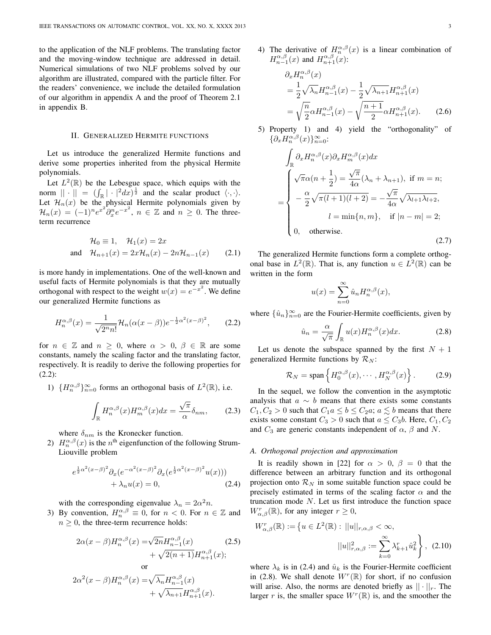to the application of the NLF problems. The translating factor and the moving-window technique are addressed in detail. Numerical simulations of two NLF problems solved by our algorithm are illustrated, compared with the particle filter. For the readers' convenience, we include the detailed formulation of our algorithm in appendix A and the proof of Theorem 2.1 in appendix B.

#### II. GENERALIZED HERMITE FUNCTIONS

Let us introduce the generalized Hermite functions and derive some properties inherited from the physical Hermite polynomials.

Let  $L^2(\mathbb{R})$  be the Lebesgue space, which equips with the norm  $|| \cdot || = (\int_{\mathbb{R}} | \cdot |^2 dx)^{\frac{1}{2}}$  and the scalar product  $\langle \cdot, \cdot \rangle$ . Let  $\mathcal{H}_n(x)$  be the physical Hermite polynomials given by  $\mathcal{H}_n(x) = (-1)^n e^{x^2} \partial_x^n e^{-x^2}, \; n \in \mathbb{Z}$  and  $n \ge 0$ . The threeterm recurrence

$$
\mathcal{H}_0 \equiv 1, \quad \mathcal{H}_1(x) = 2x
$$
  
and 
$$
\mathcal{H}_{n+1}(x) = 2x\mathcal{H}_n(x) - 2n\mathcal{H}_{n-1}(x) \qquad (2.1)
$$

is more handy in implementations. One of the well-known and useful facts of Hermite polynomials is that they are mutually orthogonal with respect to the weight  $w(x) = e^{-x^2}$ . We define our generalized Hermite functions as

$$
H_n^{\alpha,\beta}(x) = \frac{1}{\sqrt{2^n n!}} \mathcal{H}_n(\alpha(x-\beta)) e^{-\frac{1}{2}\alpha^2(x-\beta)^2},
$$
 (2.2)

for  $n \in \mathbb{Z}$  and  $n \geq 0$ , where  $\alpha > 0$ ,  $\beta \in \mathbb{R}$  are some constants, namely the scaling factor and the translating factor, respectively. It is readily to derive the following properties for (2.2):

1)  $\{H_n^{\alpha,\beta}\}_{n=0}^{\infty}$  forms an orthogonal basis of  $L^2(\mathbb{R})$ , i.e.

$$
\int_{\mathbb{R}} H_n^{\alpha,\beta}(x) H_m^{\alpha,\beta}(x) dx = \frac{\sqrt{\pi}}{\alpha} \delta_{nm},
$$
 (2.3)

where  $\delta_{nm}$  is the Kronecker function.

2)  $H_n^{\alpha,\beta}(x)$  is the  $n^{\text{th}}$  eigenfunction of the following Strum-Liouville problem

$$
e^{\frac{1}{2}\alpha^2(x-\beta)^2}\partial_x(e^{-\alpha^2(x-\beta)^2}\partial_x(e^{\frac{1}{2}\alpha^2(x-\beta)^2}u(x)))
$$
  
+  $\lambda_n u(x) = 0,$  (2.4)

with the corresponding eigenvalue  $\lambda_n = 2\alpha^2 n$ .

3) By convention,  $H_n^{\alpha,\beta} \equiv 0$ , for  $n < 0$ . For  $n \in \mathbb{Z}$  and  $n \geq 0$ , the three-term recurrence holds:

$$
2\alpha(x-\beta)H_n^{\alpha,\beta}(x) = \sqrt{2n}H_{n-1}^{\alpha,\beta}(x)
$$
\n
$$
+\sqrt{2(n+1)}H_{n+1}^{\alpha,\beta}(x);
$$
\nor\n
$$
2\alpha^2(x-\beta)H_n^{\alpha,\beta}(x) = \sqrt{\lambda_n}H_{n-1}^{\alpha,\beta}(x)
$$
\n(2.5)

+  $\sqrt{\lambda_{n+1}} H_{n+1}^{\alpha,\beta}(x)$ .

4) The derivative of  $H_{\alpha}^{\alpha,\beta}(x)$  is a linear combination of  $H_{n-1}^{\alpha,\beta}(x)$  and  $H_{n+1}^{\alpha,\beta}(x)$ :

$$
\partial_x H_n^{\alpha,\beta}(x)
$$
  
=  $\frac{1}{2} \sqrt{\lambda_n} H_{n-1}^{\alpha,\beta}(x) - \frac{1}{2} \sqrt{\lambda_{n+1}} H_{n+1}^{\alpha,\beta}(x)$   
=  $\sqrt{\frac{n}{2}} \alpha H_{n-1}^{\alpha,\beta}(x) - \sqrt{\frac{n+1}{2}} \alpha H_{n+1}^{\alpha,\beta}(x).$  (2.6)

5) Property 1) and 4) yield the "orthogonality" of  $\{\partial_x H_n^{\alpha,\beta}(x)\}_{n=0}^{\infty}$ :

$$
\int_{\mathbb{R}} \partial_x H_n^{\alpha,\beta}(x) \partial_x H_m^{\alpha,\beta}(x) dx
$$
\n
$$
= \begin{cases}\n\sqrt{\pi} \alpha (n + \frac{1}{2}) = \frac{\sqrt{\pi}}{4\alpha} (\lambda_n + \lambda_{n+1}), \text{ if } m = n; \\
-\frac{\alpha}{2} \sqrt{\pi (l+1)(l+2)} = -\frac{\sqrt{\pi}}{4\alpha} \sqrt{\lambda_{l+1} \lambda_{l+2}}, \\
l = \min\{n, m\}, \text{ if } |n - m| = 2; \\
0, \text{ otherwise.} \n\end{cases}
$$
\n(2.7)

The generalized Hermite functions form a complete orthogonal base in  $L^2(\mathbb{R})$ . That is, any function  $u \in L^2(\mathbb{R})$  can be written in the form

$$
u(x) = \sum_{n=0}^{\infty} \hat{u}_n H_n^{\alpha,\beta}(x),
$$

where  $\{\hat{u}_n\}_{n=0}^{\infty}$  are the Fourier-Hermite coefficients, given by

$$
\hat{u}_n = \frac{\alpha}{\sqrt{\pi}} \int_{\mathbb{R}} u(x) H_n^{\alpha,\beta}(x) dx.
$$
 (2.8)

Let us denote the subspace spanned by the first  $N + 1$ generalized Hermite functions by  $\mathcal{R}_N$ :

$$
\mathcal{R}_N = \text{span}\left\{ H_0^{\alpha,\beta}(x), \cdots, H_N^{\alpha,\beta}(x) \right\}. \tag{2.9}
$$

In the sequel, we follow the convention in the asymptotic analysis that  $a \sim b$  means that there exists some constants  $C_1, C_2 > 0$  such that  $C_1 a \leq b \leq C_2 a$ ;  $a \leq b$  means that there exists some constant  $C_3 > 0$  such that  $a \leq C_3b$ . Here,  $C_1, C_2$ and  $C_3$  are generic constants independent of  $\alpha$ ,  $\beta$  and N.

## *A. Orthogonal projection and approximation*

It is readily shown in [22] for  $\alpha > 0$ ,  $\beta = 0$  that the difference between an arbitrary function and its orthogonal projection onto  $\mathcal{R}_N$  in some suitable function space could be precisely estimated in terms of the scaling factor  $\alpha$  and the truncation mode  $N$ . Let us first introduce the function space  $W_{\alpha,\beta}^r(\mathbb{R})$ , for any integer  $r \geq 0$ ,

$$
W_{\alpha,\beta}^{r}(\mathbb{R}) := \left\{ u \in L^{2}(\mathbb{R}) : ||u||_{r,\alpha,\beta} < \infty, \atop ||u||_{r,\alpha,\beta}^{2} := \sum_{k=0}^{\infty} \lambda_{k+1}^{r} \hat{u}_{k}^{2} \right\}, (2.10)
$$

where  $\lambda_k$  is in (2.4) and  $\hat{u}_k$  is the Fourier-Hermite coefficient in (2.8). We shall denote  $W^r(\mathbb{R})$  for short, if no confusion will arise. Also, the norms are denoted briefly as  $|| \cdot ||_r$ . The larger r is, the smaller space  $W^r(\mathbb{R})$  is, and the smoother the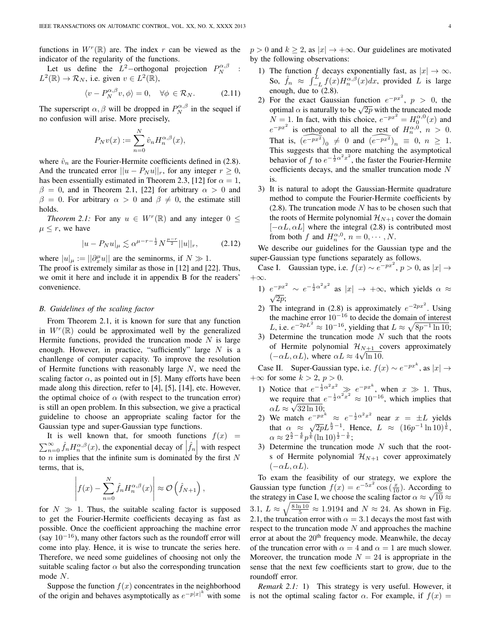functions in  $W^r(\mathbb{R})$  are. The index r can be viewed as the indicator of the regularity of the functions.

Let us define the  $L^2$ -orthogonal projection  $P_N^{\alpha,\beta}$  :  $L^2(\mathbb{R}) \to \mathcal{R}_N$ , i.e. given  $v \in L^2(\mathbb{R})$ ,

$$
\langle v - P_N^{\alpha,\beta} v, \phi \rangle = 0, \quad \forall \phi \in \mathcal{R}_N. \tag{2.11}
$$

The superscript  $\alpha$ ,  $\beta$  will be dropped in  $P_N^{\alpha,\beta}$  in the sequel if no confusion will arise. More precisely,

$$
P_N v(x) := \sum_{n=0}^N \hat{v}_n H_n^{\alpha,\beta}(x),
$$

where  $\hat{v}_n$  are the Fourier-Hermite coefficients defined in (2.8). And the truncated error  $||u - P_N u||_r$ , for any integer  $r \geq 0$ , has been essentially estimated in Theorem 2.3, [12] for  $\alpha = 1$ ,  $\beta = 0$ , and in Theorem 2.1, [22] for arbitrary  $\alpha > 0$  and  $\beta = 0$ . For arbitrary  $\alpha > 0$  and  $\beta \neq 0$ , the estimate still holds.

*Theorem 2.1:* For any  $u \in W^r(\mathbb{R})$  and any integer  $0 \leq$  $\mu \leq r$ , we have

$$
|u - P_N u|_{\mu} \lesssim \alpha^{\mu - r - \frac{1}{2}} N^{\frac{\mu - r}{2}} ||u||_r, \tag{2.12}
$$

where  $|u|_{\mu} := ||\partial_x^{\mu} u||$  are the seminorms, if  $N \gg 1$ .

The proof is extremely similar as those in [12] and [22]. Thus, we omit it here and include it in appendix B for the readers' convenience.

## *B. Guidelines of the scaling factor*

From Theorem 2.1, it is known for sure that any function in  $W^r(\mathbb{R})$  could be approximated well by the generalized Hermite functions, provided the truncation mode  $N$  is large enough. However, in practice, "sufficiently" large  $N$  is a chanllenge of computer capacity. To improve the resolution of Hermite functions with reasonably large  $N$ , we need the scaling factor  $\alpha$ , as pointed out in [5]. Many efforts have been made along this direction, refer to [4], [5], [14], etc. However, the optimal choice of  $\alpha$  (with respect to the truncation error) is still an open problem. In this subsection, we give a practical guideline to choose an appropriate scaling factor for the Gaussian type and super-Gaussian type functions.

It is well known that, for smooth functions  $f(x) =$  $\sum_{n=0}^{\infty} \hat{f}_n H_n^{\alpha,\beta}(x)$ , the exponential decay of  $\left| \hat{f}_n \right|$  with respect to  $n$  implies that the infinite sum is dominated by the first  $N$ terms, that is,

$$
\left| f(x) - \sum_{n=0}^{N} \hat{f}_n H_n^{\alpha,\beta}(x) \right| \approx \mathcal{O}\left(\hat{f}_{N+1}\right),\,
$$

for  $N \gg 1$ . Thus, the suitable scaling factor is supposed to get the Fourier-Hermite coefficients decaying as fast as possible. Once the coefficient approaching the machine error (say  $10^{-16}$ ), many other factors such as the roundoff error will come into play. Hence, it is wise to truncate the series here. Therefore, we need some guidelines of choosing not only the suitable scaling factor  $\alpha$  but also the corresponding truncation mode N.

Suppose the function  $f(x)$  concentrates in the neighborhood of the origin and behaves asymptotically as  $e^{-p|x|^k}$  with some  $p > 0$  and  $k \ge 2$ , as  $|x| \to +\infty$ . Our guidelines are motivated by the following observations:

- 1) The function f decays exponentially fast, as  $|x| \to \infty$ . So,  $\hat{f}_n \approx \int_{-L}^{L} f(x) H_n^{\alpha, \beta}(x) dx$ , provided L is large enough, due to (2.8).
- 2) For the exact Gaussian function  $e^{-px^2}$ ,  $p > 0$ , the optimal  $\alpha$  is naturally to be  $\sqrt{2p}$  with the truncated mode  $\overline{N} = 1$ . In fact, with this choice,  $e^{-px^2} = H_0^{\alpha,0}(x)$  and  $e^{-px^2}$  is orthogonal to all the rest of  $H_n^{\alpha,0}$ ,  $n > 0$ . That is,  $(e^{-px^2})_0 \neq 0$  and  $(e^{-px^2})_n \equiv 0, n \geq 1$ . This suggests that the more matching the asymptotical behavior of f to  $e^{-\frac{1}{2}\alpha^2 x^2}$ , the faster the Fourier-Hermite coefficients decays, and the smaller truncation mode N is.
- 3) It is natural to adopt the Gaussian-Hermite quadrature method to compute the Fourier-Hermite coefficients by  $(2.8)$ . The truncation mode N has to be chosen such that the roots of Hermite polynomial  $\mathcal{H}_{N+1}$  cover the domain  $[-\alpha L, \alpha L]$  where the integral (2.8) is contributed most from both f and  $H_n^{\alpha,0}$ ,  $n = 0, \dots, N$ .

We describe our guidelines for the Gaussian type and the super-Gaussian type functions separately as follows.

Case I. Gaussian type, i.e.  $f(x) \sim e^{-px^2}$ ,  $p > 0$ , as  $|x| \to$  $+\infty$ .

- 1)  $e^{-px^2} \sim e^{-\frac{1}{2}\alpha^2x^2}$  as  $|x| \to +\infty$ , which yields  $\alpha \approx \sqrt{2n}$ .  $\overline{2p};$
- 2) The integrand in (2.8) is approximately  $e^{-2px^2}$ . Using the machine error  $10^{-16}$  to decide the domain of interest L, i.e.  $e^{-2pL^2} \approx 10^{-16}$ , yielding that  $L \approx \sqrt{8p^{-1}\ln 10}$ ;
- 3) Determine the truncation mode  $N$  such that the roots of Hermite polynomial  $\mathcal{H}_{N+1}$  covers approximately  $(-\alpha L, \alpha L)$ , where  $\alpha L \approx 4\sqrt{\ln 10}$ .

Case II. Super-Gaussian type, i.e.  $f(x) \sim e^{-px^k}$ , as  $|x| \to$  $+\infty$  for some  $k > 2$ ,  $p > 0$ .

- 1) Notice that  $e^{-\frac{1}{2}\alpha^2 x^2} \geq e^{-px^k}$ , when  $x \gg 1$ . Thus, we require that  $e^{-\frac{1}{2}\alpha^2 x^2} \approx 10^{-16}$ , which implies that  $\alpha L \approx \sqrt{32 \ln 10}$ ;
- 2) We match  $e^{-px^k} \approx e^{-\frac{1}{2}\alpha^2 x^2}$  near  $x = \pm L$  yields that  $\alpha \approx \sqrt{2p}L^{\frac{k}{2}-1}$ . Hence,  $L \approx (16p^{-1}\ln 10)^{\frac{1}{k}}$ ,  $\alpha \approx 2^{\frac{5}{2} - \frac{4}{k}} p^{\frac{1}{k}} (\ln 10)^{\frac{1}{2} - \frac{1}{k}};$
- 3) Determine the truncation mode  $N$  such that the roots of Hermite polynomial  $\mathcal{H}_{N+1}$  cover approximately  $(-\alpha L, \alpha L).$

To exam the feasibility of our strategy, we explore the Gaussian type function  $f(x) = e^{-5x^2} \cos(\frac{x}{10})$ . According to the strategy in Case I, we choose the scaling factor  $\alpha \approx \sqrt{10} \approx$ 3.1,  $L \approx \sqrt{\frac{8 \ln 10}{5}} \approx 1.9194$  and  $N \approx 24$ . As shown in Fig. 2.1, the truncation error with  $\alpha = 3.1$  decays the most fast with respect to the truncation mode  $N$  and approaches the machine error at about the  $20<sup>th</sup>$  frequency mode. Meanwhile, the decay of the truncation error with  $\alpha = 4$  and  $\alpha = 1$  are much slower. Moreover, the truncation mode  $N = 24$  is appropriate in the sense that the next few coefficients start to grow, due to the roundoff error.

*Remark 2.1:* 1) This strategy is very useful. However, it is not the optimal scaling factor  $\alpha$ . For example, if  $f(x) =$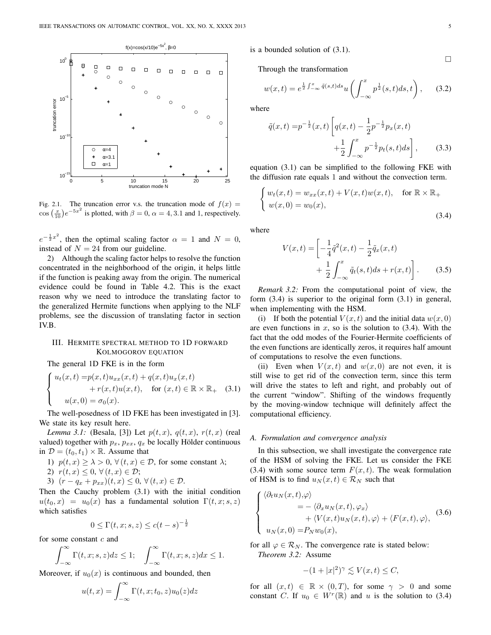

Fig. 2.1. The truncation error v.s. the truncation mode of  $f(x) =$  $\cos\left(\frac{x}{10}\right)e^{-5x^2}$  is plotted, with  $\beta = 0$ ,  $\alpha = 4, 3.1$  and 1, respectively.

 $e^{-\frac{1}{2}x^2}$ , then the optimal scaling factor  $\alpha = 1$  and  $N = 0$ , instead of  $N = 24$  from our guideline.

2) Although the scaling factor helps to resolve the function concentrated in the neighborhood of the origin, it helps little if the function is peaking away from the origin. The numerical evidence could be found in Table 4.2. This is the exact reason why we need to introduce the translating factor to the generalized Hermite functions when applying to the NLF problems, see the discussion of translating factor in section IV.B.

# III. HERMITE SPECTRAL METHOD TO 1D FORWARD KOLMOGOROV EQUATION

The general 1D FKE is in the form

$$
\begin{cases}\nu_t(x,t) = p(x,t)\nu_{xx}(x,t) + q(x,t)\nu_{x}(x,t) \\
\quad + r(x,t)\nu(x,t), \quad \text{for } (x,t) \in \mathbb{R} \times \mathbb{R}_+ \quad (3.1) \\
u(x,0) = \sigma_0(x).\n\end{cases}
$$

The well-posedness of 1D FKE has been investigated in [3]. We state its key result here.

*Lemma 3.1:* (Besala, [3]) Let  $p(t, x)$ ,  $q(t, x)$ ,  $r(t, x)$  (real valued) together with  $p_x$ ,  $p_{xx}$ ,  $q_x$  be locally Hölder continuous in  $\mathcal{D} = (t_0, t_1) \times \mathbb{R}$ . Assume that

1) 
$$
p(t, x) \ge \lambda > 0, \forall (t, x) \in \mathcal{D}
$$
, for some constant  $\lambda$ ;

- 2)  $r(t, x) \leq 0, \forall (t, x) \in \mathcal{D};$
- 3)  $(r q_x + p_{xx})(t, x) \leq 0, \forall (t, x) \in \mathcal{D}.$

Then the Cauchy problem (3.1) with the initial condition  $u(t_0, x) = u_0(x)$  has a fundamental solution  $\Gamma(t, x; s, z)$ which satisfies

$$
0 \le \Gamma(t, x; s, z) \le c(t - s)^{-\frac{1}{2}}
$$

for some constant  $c$  and

$$
\int_{-\infty}^{\infty} \Gamma(t, x; s, z) dz \le 1; \quad \int_{-\infty}^{\infty} \Gamma(t, x; s, z) dx \le 1.
$$

Moreover, if  $u_0(x)$  is continuous and bounded, then

$$
u(t,x) = \int_{-\infty}^{\infty} \Gamma(t,x;t_0,z)u_0(z)dz
$$

is a bounded solution of (3.1).

Through the transformation

$$
w(x,t) = e^{\frac{1}{2}\int_{-\infty}^{x} \tilde{q}(s,t)ds} u\left(\int_{-\infty}^{x} p^{\frac{1}{2}}(s,t)ds, t\right), \quad (3.2)
$$

where

$$
\tilde{q}(x,t) = p^{-\frac{1}{2}}(x,t) \left[ q(x,t) - \frac{1}{2} p^{-\frac{1}{2}} p_x(x,t) + \frac{1}{2} \int_{-\infty}^x p^{-\frac{1}{2}} p_t(s,t) ds \right],
$$
\n(3.3)

equation (3.1) can be simplified to the following FKE with the diffusion rate equals 1 and without the convection term.

$$
\begin{cases} w_t(x,t) = w_{xx}(x,t) + V(x,t)w(x,t), & \text{for } \mathbb{R} \times \mathbb{R}_+ \\ w(x,0) = w_0(x), \end{cases}
$$
\n(3.4)

where

$$
V(x,t) = \left[ -\frac{1}{4}\tilde{q}^{2}(x,t) - \frac{1}{2}\tilde{q}_{x}(x,t) + \frac{1}{2}\int_{-\infty}^{x}\tilde{q}_{t}(s,t)ds + r(x,t) \right].
$$
 (3.5)

*Remark 3.2:* From the computational point of view, the form (3.4) is superior to the original form (3.1) in general, when implementing with the HSM.

(i) If both the potential  $V(x, t)$  and the initial data  $w(x, 0)$ are even functions in  $x$ , so is the solution to  $(3.4)$ . With the fact that the odd modes of the Fourier-Hermite coefficients of the even functions are identically zeros, it requires half amount of computations to resolve the even functions.

(ii) Even when  $V(x, t)$  and  $w(x, 0)$  are not even, it is still wise to get rid of the convection term, since this term will drive the states to left and right, and probably out of the current "window". Shifting of the windows frequently by the moving-window technique will definitely affect the computational efficiency.

## *A. Formulation and convergence analysis*

In this subsection, we shall investigate the convergence rate of the HSM of solving the FKE. Let us consider the FKE (3.4) with some source term  $F(x, t)$ . The weak formulation of HSM is to find  $u_N(x, t) \in \mathcal{R}_N$  such that

$$
\begin{cases} \langle \partial_t u_N(x,t), \varphi \rangle \\ = - \langle \partial_x u_N(x,t), \varphi_x \rangle \\ + \langle V(x,t) u_N(x,t), \varphi \rangle + \langle F(x,t), \varphi \rangle, \\ u_N(x,0) = P_N w_0(x), \end{cases} (3.6)
$$

for all  $\varphi \in \mathcal{R}_N$ . The convergence rate is stated below: *Theorem 3.2:* Assume

$$
-(1+|x|^2)^{\gamma} \lesssim V(x,t) \le C,
$$

for all  $(x, t) \in \mathbb{R} \times (0, T)$ , for some  $\gamma > 0$  and some constant C. If  $u_0 \in W^r(\mathbb{R})$  and u is the solution to (3.4)

 $\Box$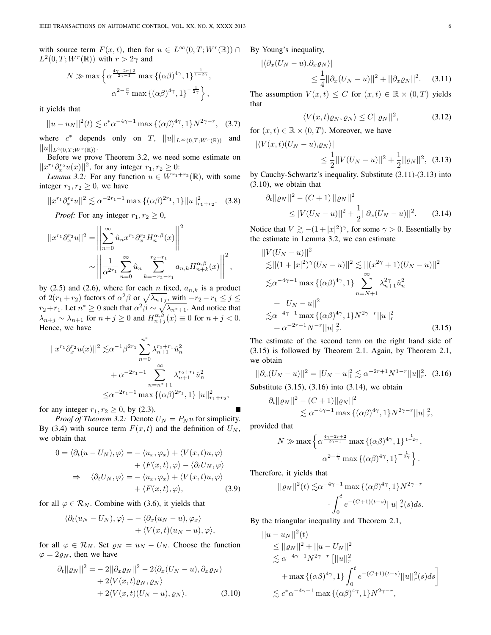with source term  $F(x,t)$ , then for  $u \in L^{\infty}(0,T;W^{r}(\mathbb{R}))$  $L^2(0,T;W^r(\mathbb{R}))$  with  $r>2\gamma$  and

$$
N \gg \max\left\{\alpha^{\frac{4\gamma - 2r + 2}{2\gamma - 1}} \max\left\{(\alpha \beta)^{4\gamma}, 1\right\}^{\frac{1}{1 - 2\gamma}},\right.
$$

$$
\alpha^{2 - \frac{r}{\gamma}} \max\left\{(\alpha \beta)^{4\gamma}, 1\right\}^{-\frac{1}{2\gamma}}\right\},\
$$

it yields that

$$
||u - u_N||^2(t) \lesssim c^* \alpha^{-4\gamma - 1} \max\left\{ (\alpha \beta)^{4\gamma}, 1\right\} N^{2\gamma - r}, \quad (3.7)
$$

where  $c^*$  depends only on  $T$ ,  $||u||_{L^{\infty}(0,T;W^r(\mathbb{R}))}$  and  $||u||_{L^2(0,T;W^r(\mathbb{R}))}.$ 

Before we prove Theorem 3.2, we need some estimate on  $||x^{r_1} \partial_x^{r_2} u(x)||^2$ , for any integer  $r_1, r_2 \ge 0$ :

*Lemma 3.2:* For any function  $u \in W^{r_1+r_2}(\mathbb{R})$ , with some integer  $r_1, r_2 \geq 0$ , we have

$$
||x^{r_1}\partial_x^{r_2}u||^2 \lesssim \alpha^{-2r_1-1} \max\left\{(\alpha\beta)^{2r_1}, 1\right\} ||u||_{r_1+r_2}^2. \quad (3.8)
$$

*Proof:* For any integer  $r_1, r_2 \geq 0$ ,

$$
||x^{r_1}\partial_x^{r_2}u||^2 = \left\|\sum_{n=0}^{\infty}\hat{u}_nx^{r_1}\partial_x^{r_2}H_n^{\alpha,\beta}(x)\right\|^2
$$

$$
\sim \left\|\frac{1}{\alpha^{2r_1}}\sum_{n=0}^{\infty}\hat{u}_n\sum_{k=-r_2-r_1}^{r_2+r_1}a_{n,k}H_{n+k}^{\alpha,\beta}(x)\right\|^2,
$$

by (2.5) and (2.6), where for each n fixed,  $a_{n,k}$  is a product of  $2(r_1+r_2)$  factors of  $\alpha^2\beta$  or  $\sqrt{\lambda_{n+j}}$ , with  $-r_2-r_1 \leq j \leq$  $r_2+r_1$ . Let  $n^* \geq 0$  such that  $\alpha^2 \beta \sim \sqrt{\lambda_{n^*+1}}$ . And notice that  $\lambda_{n+j} \sim \lambda_{n+1}$  for  $n+j \ge 0$  and  $H_{n+j}^{\alpha,\beta}(x) \equiv 0$  for  $n+j < 0$ . Hence, we have

$$
||x^{r_1} \partial_x^{r_2} u(x)||^2 \lesssim \alpha^{-1} \beta^{2r_1} \sum_{n=0}^{n^*} \lambda_{n+1}^{r_2+r_1} \hat{u}_n^2
$$
  
+  $\alpha^{-2r_1-1} \sum_{n=n^*+1}^{\infty} \lambda_{n+1}^{r_2+r_1} \hat{u}_n^2$   
 $\leq \alpha^{-2r_1-1} \max \{ (\alpha \beta)^{2r_1}, 1 \} ||u||_{r_1+r_2}^2,$ 

for any integer  $r_1, r_2 \geq 0$ , by (2.3).

*Proof of Theorem 3.2:* Denote  $U_N = P_N u$  for simplicity. By (3.4) with source term  $F(x, t)$  and the definition of  $U_N$ , we obtain that

$$
0 = \langle \partial_t (u - U_N), \varphi \rangle = - \langle u_x, \varphi_x \rangle + \langle V(x, t)u, \varphi \rangle + \langle F(x, t), \varphi \rangle - \langle \partial_t U_N, \varphi \rangle \n\Rightarrow \langle \partial_t U_N, \varphi \rangle = - \langle u_x, \varphi_x \rangle + \langle V(x, t)u, \varphi \rangle + \langle F(x, t), \varphi \rangle,
$$
(3.9)

for all  $\varphi \in \mathcal{R}_N$ . Combine with (3.6), it yields that

$$
\langle \partial_t (u_N - U_N), \varphi \rangle = - \langle \partial_x (u_N - u), \varphi_x \rangle + \langle V(x, t)(u_N - u), \varphi \rangle,
$$

for all  $\varphi \in \mathcal{R}_N$ . Set  $\varrho_N = u_N - U_N$ . Choose the function  $\varphi = 2 \varrho_N$ , then we have

$$
\partial_t ||\varrho_N||^2 = -2||\partial_x \varrho_N||^2 - 2\langle \partial_x (U_N - u), \partial_x \varrho_N \rangle + 2\langle V(x, t)\varrho_N, \varrho_N \rangle + 2\langle V(x, t)(U_N - u), \varrho_N \rangle.
$$
 (3.10)

By Young's inequality,

$$
\begin{aligned} |\langle \partial_x (U_N - u), \partial_x \varrho_N \rangle| \\ &\le \frac{1}{4} ||\partial_x (U_N - u)||^2 + ||\partial_x \varrho_N||^2. \end{aligned} \tag{3.11}
$$

The assumption  $V(x,t) \leq C$  for  $(x,t) \in \mathbb{R} \times (0,T)$  yields that

$$
\langle V(x,t)\varrho_N,\varrho_N\rangle \le C||\varrho_N||^2,\tag{3.12}
$$

for  $(x, t) \in \mathbb{R} \times (0, T)$ . Moreover, we have

$$
\begin{aligned} |\langle V(x,t)(U_N - u), \varrho_N \rangle| \\ &\le \frac{1}{2} ||V(U_N - u)||^2 + \frac{1}{2} ||\varrho_N||^2, \end{aligned} \tag{3.13}
$$

by Cauchy-Schwartz's inequality. Substitute (3.11)-(3.13) into (3.10), we obtain that

$$
\partial_t ||\varrho_N||^2 - (C+1) ||\varrho_N||^2
$$
  
\n
$$
\leq ||V(U_N - u)||^2 + \frac{1}{2} ||\partial_x (U_N - u)||^2.
$$
 (3.14)

Notice that  $V \gtrsim -(1+|x|^2)^\gamma$ , for some  $\gamma > 0$ . Essentially by the estimate in Lemma 3.2, we can estimate

$$
||V(U_N - u)||^2
$$
  
\n
$$
\leq ||(1 + |x|^2)^{\gamma} (U_N - u)||^2 \leq ||(x^{2\gamma} + 1)(U_N - u)||^2
$$
  
\n
$$
\leq \alpha^{-4\gamma - 1} \max \{ (\alpha \beta)^{4\gamma}, 1 \} \sum_{n=N+1}^{\infty} \lambda_{n+1}^{2\gamma} \hat{u}_n^2
$$
  
\n
$$
+ ||U_N - u||^2
$$
  
\n
$$
\leq \alpha^{-4\gamma - 1} \max \{ (\alpha \beta)^{4\gamma}, 1 \} N^{2\gamma - r} ||u||_r^2
$$
  
\n
$$
+ \alpha^{-2r - 1} N^{-r} ||u||_r^2.
$$
\n(3.15)

The estimate of the second term on the right hand side of (3.15) is followed by Theorem 2.1. Again, by Theorem 2.1, we obtain

$$
||\partial_x (U_N - u)||^2 = |U_N - u|_1^2 \lesssim \alpha^{-2r+1} N^{1-r} ||u||_r^2. \tag{3.16}
$$

Substitute  $(3.15)$ ,  $(3.16)$  into  $(3.14)$ , we obtain

$$
\partial_t ||\varrho_N||^2 - (C+1)||\varrho_N||^2
$$
  
\$\le \alpha^{-4\gamma - 1} \max{\{(\alpha \beta)^{4\gamma}, 1\} N^{2\gamma - r} ||u||\_r^2,

provided that

$$
N \gg \max \left\{ \alpha^{\frac{4\gamma - 2r + 2}{2\gamma - 1}} \max \left\{ (\alpha \beta)^{4\gamma}, 1 \right\}^{\frac{1}{1 - 2\gamma}}, \alpha^{2 - \frac{r}{\gamma}} \max \left\{ (\alpha \beta)^{4\gamma}, 1 \right\}^{-\frac{1}{2\gamma}} \right\}.
$$

Therefore, it yields that

$$
||\varrho_N||^2(t) \lesssim \alpha^{-4\gamma - 1} \max\{(\alpha \beta)^{4\gamma}, 1\} N^{2\gamma - r} \cdot \int_0^t e^{-(C+1)(t-s)} ||u||_r^2(s) ds.
$$

By the triangular inequality and Theorem 2.1,

$$
||u - u_N||^2(t)
$$
  
\n
$$
\leq ||\varrho_N||^2 + ||u - U_N||^2
$$
  
\n
$$
\lesssim \alpha^{-4\gamma - 1} N^{2\gamma - r} [||u||_r^2
$$
  
\n
$$
+ \max \{ (\alpha \beta)^{4\gamma}, 1 \} \int_0^t e^{-(C+1)(t-s)} ||u||_r^2(s) ds \Big]
$$
  
\n
$$
\lesssim c^* \alpha^{-4\gamma - 1} \max \{ (\alpha \beta)^{4\gamma}, 1 \} N^{2\gamma - r},
$$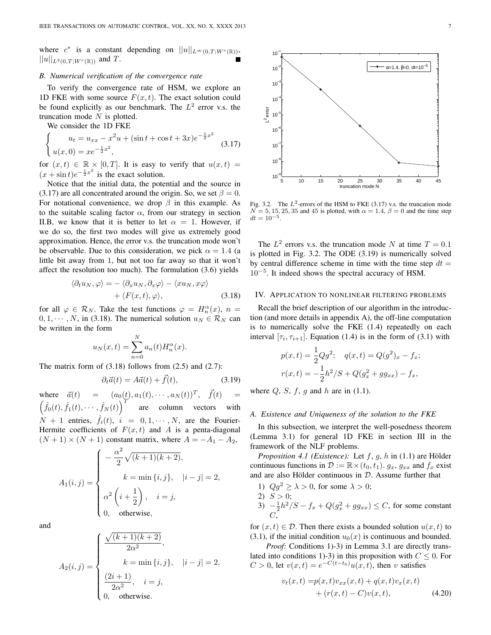where  $c^*$  is a constant depending on  $||u||_{L^{\infty}(0,T;W^r(\mathbb{R}))}$ ,  $||u||_{L^2(0,T;W^r(\mathbb{R}))}$  and T.

## *B. Numerical verification of the convergence rate*

To verify the convergence rate of HSM, we explore an 1D FKE with some source  $F(x, t)$ . The exact solution could be found explicitly as our benchmark. The  $L^2$  error v.s. the truncation mode  $N$  is plotted.

We consider the 1D FKE

$$
\begin{cases}\n u_t = u_{xx} - x^2 u + (\sin t + \cos t + 3x) e^{-\frac{1}{2}x^2} \\
 u(x,0) = x e^{-\frac{1}{2}x^2},\n\end{cases}
$$
\n(3.17)

for  $(x, t) \in \mathbb{R} \times [0, T]$ . It is easy to verify that  $u(x, t) =$  $(x + \sin t)e^{-\frac{1}{2}x^2}$  is the exact solution.

Notice that the initial data, the potential and the source in (3.17) are all concentrated around the origin. So, we set  $\beta = 0$ . For notational convenience, we drop  $\beta$  in this example. As to the suitable scaling factor  $\alpha$ , from our strategy in section II.B, we know that it is better to let  $\alpha = 1$ . However, if we do so, the first two modes will give us extremely good approximation. Hence, the error v.s. the truncation mode won't be observable. Due to this consideration, we pick  $\alpha = 1.4$  (a little bit away from 1, but not too far away so that it won't affect the resolution too much). The formulation (3.6) yields

$$
\langle \partial_t u_N, \varphi \rangle = - \langle \partial_x u_N, \partial_x \varphi \rangle - \langle x u_N, x \varphi \rangle + \langle F(x, t), \varphi \rangle,
$$
 (3.18)

for all  $\varphi \in \mathcal{R}_N$ . Take the test functions  $\varphi = H_n^{\alpha}(x)$ ,  $n =$  $0, 1, \dots, N$ , in (3.18). The numerical solution  $u_N \in \mathcal{R}_N$  can be written in the form

$$
u_N(x,t) = \sum_{n=0}^{N} a_n(t) H_n^{\alpha}(x).
$$

The matrix form of  $(3.18)$  follows from  $(2.5)$  and  $(2.7)$ :

$$
\partial_t \vec{a}(t) = A\vec{a}(t) + \vec{f}(t),\tag{3.19}
$$

where  $\vec{a}(t) = (a_0(t), a_1(t), \cdots, a_N(t))^T$ ,  $\vec{f}(t) =$  $(\hat{f}_0(t), \hat{f}_1(t), \cdots, \hat{f}_N(t))$ <sup>T</sup> are column vectors with  $N + 1$  entries,  $\hat{f}_i(t)$ ,  $i = 0, 1, \dots, N$ , are the Fourier-Hermite coefficients of  $F(x, t)$  and A is a penta-diagonal  $(N + 1) \times (N + 1)$  constant matrix, where  $A = -A_1 - A_2$ ,

$$
A_1(i,j) = \begin{cases} -\frac{\alpha^2}{2}\sqrt{(k+1)(k+2)}, \\ k = \min\{i,j\}, & |i-j| = 2, \\ \alpha^2 \left(i+\frac{1}{2}\right), & i = j, \\ 0, & \text{otherwise}, \end{cases}
$$

and

$$
A_2(i,j) = \begin{cases} \frac{\sqrt{(k+1)(k+2)}}{2\alpha^2}, \\ k = \min\{i, j\}, & |i - j| = 2, \\ \frac{(2i+1)}{2\alpha^2}, & i = j, \\ 0, & \text{otherwise.} \end{cases}
$$



Fig. 3.2. The  $L^2$ -errors of the HSM to FKE (3.17) v.s. the truncation mode  $N = 5, 15, 25, 35$  and 45 is plotted, with  $\alpha = 1.4$ ,  $\beta = 0$  and the time step  $dt = 10^{-5}$ .

The  $L^2$  errors v.s. the truncation mode N at time  $T = 0.1$ is plotted in Fig. 3.2. The ODE (3.19) is numerically solved by central difference scheme in time with the time step  $dt =$ 10−<sup>5</sup> . It indeed shows the spectral accuracy of HSM.

### IV. APPLICATION TO NONLINEAR FILTERING PROBLEMS

Recall the brief description of our algorithm in the introduction (and more details in appendix A), the off-line computation is to numerically solve the FKE (1.4) repeatedly on each interval  $[\tau_i, \tau_{i+1}]$ . Equation (1.4) is in the form of (3.1) with

$$
p(x,t) = \frac{1}{2}Qg^{2}; \quad q(x,t) = Q(g^{2})_{x} - f_{x};
$$
  

$$
r(x,t) = -\frac{1}{2}h^{2}/S + Q(g_{x}^{2} + gg_{xx}) - f_{x},
$$

where  $Q$ ,  $S$ ,  $f$ ,  $g$  and  $h$  are in (1.1).

### *A. Existence and Uniqueness of the solution to the FKE*

In this subsection, we interpret the well-posedness theorem (Lemma 3.1) for general 1D FKE in section III in the framework of the NLF problems.

*Proposition 4.1 (Existence):* Let  $f$ ,  $g$ ,  $h$  in (1.1) are Hölder continuous functions in  $\mathcal{D} := \mathbb{R} \times (t_0, t_1)$ .  $g_x, g_{xx}$  and  $f_x$  exist and are also Hölder continuous in  $D$ . Assume further that

1)  $Qg^2 \ge \lambda > 0$ , for some  $\lambda > 0$ ; 2)  $S > 0$ ; 3)  $-\frac{1}{2}h^2/S - f_x + Q(g_x^2 + gg_{xx}) \le C$ , for some constant  $C,$ 

for  $(x, t) \in \mathcal{D}$ . Then there exists a bounded solution  $u(x, t)$  to (3.1), if the initial condition  $u_0(x)$  is continuous and bounded.

*Proof:* Conditions 1)-3) in Lemma 3.1 are directly translated into conditions 1)-3) in this proposition with  $C \leq 0$ . For  $C > 0$ , let  $v(x,t) = e^{-C(t-t_0)}u(x,t)$ , then v satisfies

$$
v_t(x,t) = p(x,t)v_{xx}(x,t) + q(x,t)v_x(x,t)
$$
  
+  $(r(x,t) - C)v(x,t)$ , (4.20)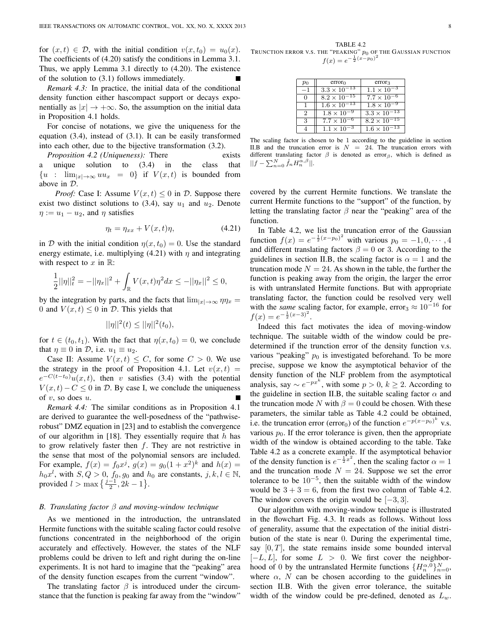for  $(x, t) \in \mathcal{D}$ , with the initial condition  $v(x, t_0) = u_0(x)$ . The coefficients of (4.20) satisfy the conditions in Lemma 3.1. Thus, we apply Lemma 3.1 directly to (4.20). The existence of the solution to (3.1) follows immediately.

*Remark 4.3:* In practice, the initial data of the conditional density function either hascompact support or decays exponentially as  $|x| \to +\infty$ . So, the assumption on the initial data in Proposition 4.1 holds.

For concise of notations, we give the uniqueness for the equation (3.4), instead of (3.1). It can be easily transformed into each other, due to the bijective transformation (3.2).

*Proposition 4.2 (Uniqueness):* There exists a unique solution to (3.4) in the class that  ${u : \lim_{|x| \to \infty} u u_x = 0}$  if  $V(x,t)$  is bounded from above in D.

*Proof:* Case I: Assume  $V(x, t) \leq 0$  in D. Suppose there exist two distinct solutions to (3.4), say  $u_1$  and  $u_2$ . Denote  $\eta := u_1 - u_2$ , and  $\eta$  satisfies

$$
\eta_t = \eta_{xx} + V(x, t)\eta,\tag{4.21}
$$

in D with the initial condition  $\eta(x, t_0) = 0$ . Use the standard energy estimate, i.e. multiplying (4.21) with  $\eta$  and integrating with respect to x in  $\mathbb{R}$ :

$$
\frac{1}{2}||\eta||_t^2 = -||\eta_x||^2 + \int_{\mathbb{R}} V(x,t)\eta^2 dx \le -||\eta_x||^2 \le 0,
$$

by the integration by parts, and the facts that  $\lim_{|x|\to\infty} \eta \eta_x =$ 0 and  $V(x, t) \leq 0$  in  $\mathcal{D}$ . This yields that

$$
||\eta||^2(t) \le ||\eta||^2(t_0),
$$

for  $t \in (t_0, t_1)$ . With the fact that  $\eta(x, t_0) = 0$ , we conclude that  $\eta \equiv 0$  in  $\mathcal{D}$ , i.e.  $u_1 \equiv u_2$ .

Case II: Assume  $V(x,t) \leq C$ , for some  $C > 0$ . We use the strategy in the proof of Proposition 4.1. Let  $v(x, t)$  =  $e^{-C(t-t_0)}u(x,t)$ , then v satisfies (3.4) with the potential  $V(x, t) - C \leq 0$  in  $D$ . By case I, we conclude the uniqueness of  $v$ , so does  $u$ .

*Remark 4.4:* The similar conditions as in Proposition 4.1 are derived to guarantee the well-posedness of the "pathwiserobust" DMZ equation in [23] and to establish the convergence of our algorithm in [18]. They essentially require that  $h$  has to grow relatively faster then  $f$ . They are not restrictive in the sense that most of the polynomial sensors are included. For example,  $f(x) = f_0 x^j$ ,  $g(x) = g_0 (1 + x^2)^k$  and  $h(x) =$  $h_0x^l$ , with  $S, Q > 0$ ,  $f_0, g_0$  and  $h_0$  are constants,  $j, k, l \in \mathbb{N}$ , provided  $l > \max\left\{\frac{j-1}{2}, 2k - 1\right\}$ .

#### *B. Translating factor* β *and moving-window technique*

As we mentioned in the introduction, the untranslated Hermite functions with the suitable scaling factor could resolve functions concentrated in the neighborhood of the origin accurately and effectively. However, the states of the NLF problems could be driven to left and right during the on-line experiments. It is not hard to imagine that the "peaking" area of the density function escapes from the current "window".

The translating factor  $\beta$  is introduced under the circumstance that the function is peaking far away from the "window"

TABLE 4.2 TRUNCTION ERROR V.S. THE "PEAKING"  $p_0$  OF THE GAUSSIAN FUNCTION  $f(x) = e^{-\frac{1}{2}(x-p_0)^2}$ 

| $p_0$ | error <sub>0</sub>    | error <sub>3</sub>    |
|-------|-----------------------|-----------------------|
| $-1$  | $3.3 \times 10^{-13}$ | $1.1 \times 10^{-3}$  |
| 0     | $8.2 \times 10^{-15}$ | $7.7 \times 10^{-6}$  |
|       | $1.6 \times 10^{-13}$ | $1.8 \times 10^{-9}$  |
| 2     | $1.8 \times 10^{-9}$  | $3.3 \times 10^{-13}$ |
| 3     | $7.7 \times 10^{-6}$  | $8.2 \times 10^{-15}$ |
|       | $1.1 \times 10^{-3}$  | $1.6 \times 10^{-13}$ |

The scaling factor is chosen to be 1 according to the guideline in section II.B and the truncation error is  $N = 24$ . The truncation errors with different translating factor  $\beta$  is denoted as error<sub> $\beta$ </sub>, which is defined as  $||f - \sum_{n=0}^{N} \hat{f}_n H_n^{\alpha,\beta}||.$ 

covered by the current Hermite functions. We translate the current Hermite functions to the "support" of the function, by letting the translating factor  $\beta$  near the "peaking" area of the function.

In Table 4.2, we list the truncation error of the Gaussian function  $f(x) = e^{-\frac{1}{2}(x-p_0)^2}$  with various  $p_0 = -1, 0, \dots, 4$ and different translating factors  $\beta = 0$  or 3. According to the guidelines in section II.B, the scaling factor is  $\alpha = 1$  and the truncation mode  $N = 24$ . As shown in the table, the further the function is peaking away from the origin, the larger the error is with untranslated Hermite functions. But with appropriate translating factor, the function could be resolved very well with the *same* scaling factor, for example, error<sub>3</sub>  $\approx 10^{-16}$  for  $f(x) = e^{-\frac{1}{2}(x-3)^2}.$ 

Indeed this fact motivates the idea of moving-window technique. The suitable width of the window could be predetermined if the trunction error of the density function v.s. various "peaking"  $p_0$  is investigated beforehand. To be more precise, suppose we know the asymptotical behavior of the density function of the NLF problem from the asymptotical analysis, say  $\sim e^{-px^k}$ , with some  $p > 0$ ,  $k \ge 2$ . According to the guideline in section II.B, the suitable scaling factor  $\alpha$  and the truncation mode N with  $\beta = 0$  could be chosen. With these parameters, the similar table as Table 4.2 could be obtained, i.e. the truncation error (error<sub>0</sub>) of the function  $e^{-p(x-p_0)^k}$  v.s. various  $p_0$ . If the error tolerance is given, then the appropriate width of the window is obtained according to the table. Take Table 4.2 as a concrete example. If the asymptotical behavior of the density function is  $e^{-\frac{1}{2}x^2}$ , then the scaling factor  $\alpha = 1$ and the truncation mode  $N = 24$ . Suppose we set the error tolerance to be  $10^{-5}$ , then the suitable width of the window would be  $3 + 3 = 6$ , from the first two column of Table 4.2. The window covers the origin would be  $[-3, 3]$ .

Our algorithm with moving-window technique is illustrated in the flowchart Fig. 4.3. It reads as follows. Without loss of generality, assume that the expectation of the initial distribution of the state is near 0. During the experimental time, say  $[0, T]$ , the state remains inside some bounded interval  $[-L, L]$ , for some  $L > 0$ . We first cover the neighborhood of 0 by the untranslated Hermite functions  $\{H_n^{\alpha,0}\}_{n=0}^N$ , where  $\alpha$ , N can be chosen according to the guidelines in section II.B. With the given error tolerance, the suitable width of the window could be pre-defined, denoted as  $L_w$ .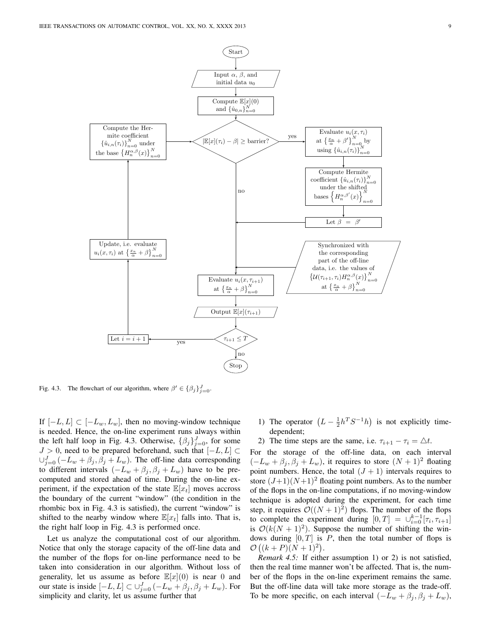

Fig. 4.3. The flowchart of our algorithm, where  $\beta' \in {\beta_j}_{j=0}^J$ .

If  $[-L, L] \subset [-L_w, L_w]$ , then no moving-window technique is needed. Hence, the on-line experiment runs always within the left half loop in Fig. 4.3. Otherwise,  $\{\beta_j\}_{j=0}^J$ , for some  $J > 0$ , need to be prepared beforehand, such that  $[-L, L] \subset$  $\cup_{j=0}^{J}(-L_w+\beta_j,\beta_j+L_w)$ . The off-line data corresponding to different intervals  $(-L_w + \beta_j, \beta_j + L_w)$  have to be precomputed and stored ahead of time. During the on-line experiment, if the expectation of the state  $\mathbb{E}[x_t]$  moves accross the boundary of the current "window" (the condition in the rhombic box in Fig. 4.3 is satisfied), the current "window" is shifted to the nearby window where  $\mathbb{E}[x_t]$  falls into. That is, the right half loop in Fig. 4.3 is performed once.

Let us analyze the computational cost of our algorithm. Notice that only the storage capacity of the off-line data and the number of the flops for on-line performance need to be taken into consideration in our algorithm. Without loss of generality, let us assume as before  $\mathbb{E}[x](0)$  is near 0 and our state is inside  $[-L, L] \subset \cup_{j=0}^{J} (-L_w + \beta_j, \beta_j + L_w)$ . For simplicity and clarity, let us assume further that

- 1) The operator  $(L \frac{1}{2}h^T S^{-1}h)$  is not explicitly timedependent;
- 2) The time steps are the same, i.e.  $\tau_{i+1} \tau_i = \Delta t$ .

For the storage of the off-line data, on each interval  $(-L_w + \beta_j, \beta_j + L_w)$ , it requires to store  $(N + 1)^2$  floating point numbers. Hence, the total  $(J + 1)$  intervals requires to store  $(J+1)(N+1)^2$  floating point numbers. As to the number of the flops in the on-line computations, if no moving-window technique is adopted during the experiment, for each time step, it requires  $\mathcal{O}((N+1)^2)$  flops. The number of the flops to complete the experiment during  $[0, T] = \bigcup_{i=0}^{k-1} [\tau_i, \tau_{i+1}]$ is  $O(k(N + 1)^2)$ . Suppose the number of shifting the windows during  $[0, T]$  is P, then the total number of flops is  $\mathcal{O}\left( (k+P)(N+1)^2 \right)$ .

*Remark 4.5:* If either assumption 1) or 2) is not satisfied, then the real time manner won't be affected. That is, the number of the flops in the on-line experiment remains the same. But the off-line data will take more storage as the trade-off. To be more specific, on each interval  $(-L_w + \beta_i, \beta_i + L_w)$ ,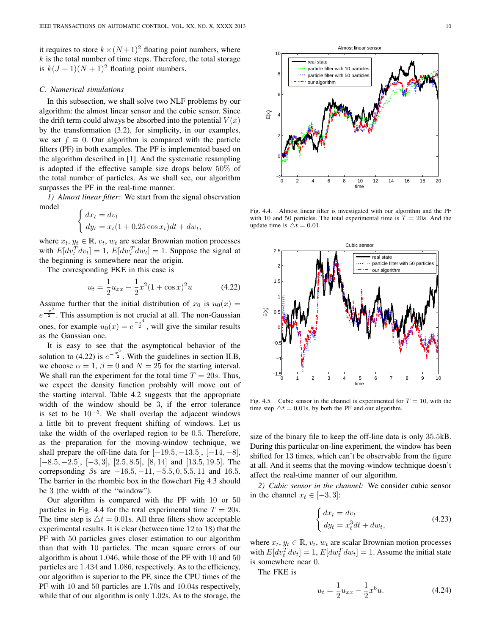it requires to store  $k \times (N+1)^2$  floating point numbers, where  $k$  is the total number of time steps. Therefore, the total storage is  $k(J + 1)(N + 1)^2$  floating point numbers.

#### *C. Numerical simulations*

In this subsection, we shall solve two NLF problems by our algorithm: the almost linear sensor and the cubic sensor. Since the drift term could always be absorbed into the potential  $V(x)$ by the transformation (3.2), for simplicity, in our examples, we set  $f \equiv 0$ . Our algorithm is compared with the particle filters (PF) in both examples. The PF is implemented based on the algorithm described in [1]. And the systematic resampling is adopted if the effective sample size drops below 50% of the total number of particles. As we shall see, our algorithm surpasses the PF in the real-time manner.

*1) Almost linear filter:* We start from the signal observation model

$$
\begin{cases} dx_t = dv_t \\ dy_t = x_t(1 + 0.25 \cos x_t)dt + dw_t, \end{cases}
$$

where  $x_t, y_t \in \mathbb{R}, v_t, w_t$  are scalar Brownian motion processes with  $E[dv_t^T dv_t] = 1$ ,  $E[dw_t^T dw_t] = 1$ . Suppose the signal at the beginning is somewhere near the origin.

The corresponding FKE in this case is

$$
u_t = \frac{1}{2}u_{xx} - \frac{1}{2}x^2(1 + \cos x)^2 u \tag{4.22}
$$

Assume further that the initial distribution of  $x_0$  is  $u_0(x) =$  $e^{\frac{-x^2}{2}}$ . This assumption is not crucial at all. The non-Gaussian ones, for example  $u_0(x) = e^{\frac{-x^4}{2}}$ , will give the similar results as the Gaussian one.

It is easy to see that the asymptotical behavior of the solution to (4.22) is  $e^{-\frac{x^2}{2}}$ . With the guidelines in section II.B, we choose  $\alpha = 1$ ,  $\beta = 0$  and  $N = 25$  for the starting interval. We shall run the experiment for the total time  $T = 20s$ . Thus, we expect the density function probably will move out of the starting interval. Table 4.2 suggests that the appropriate width of the window should be 3, if the error tolerance is set to be  $10^{-5}$ . We shall overlap the adjacent windows a little bit to prevent frequent shifting of windows. Let us take the width of the overlaped region to be 0.5. Therefore, as the preparation for the moving-window technique, we shall prepare the off-line data for  $[-19.5, -13.5]$ ,  $[-14, -8]$ ,  $[-8.5, -2.5]$ ,  $[-3, 3]$ ,  $[2.5, 8.5]$ ,  $[8, 14]$  and  $[13.5, 19.5]$ . The correpsonding  $\beta$ s are  $-16.5, -11, -5.5, 0, 5.5, 11$  and 16.5. The barrier in the rhombic box in the flowchart Fig 4.3 should be 3 (the width of the "window").

Our algorithm is compared with the PF with 10 or 50 particles in Fig. 4.4 for the total experimental time  $T = 20$ s. The time step is  $\Delta t = 0.01$ s. All three filters show acceptable experimental results. It is clear (between time 12 to 18) that the PF with 50 particles gives closer estimation to our algorithm than that with 10 particles. The mean square errors of our algorithm is about 1.046, while those of the PF with 10 and 50 particles are 1.434 and 1.086, respectively. As to the efficiency, our algorithm is superior to the PF, since the CPU times of the PF with 10 and 50 particles are 1.70s and 10.04s respectively, while that of our algorithm is only 1.02s. As to the storage, the



Fig. 4.4. Almost linear filter is investigated with our algorithm and the PF with 10 and 50 particles. The total experimental time is  $T = 20s$ . And the update time is  $\Delta t = 0.01$ .



Fig. 4.5. Cubic sensor in the channel is experimented for  $T = 10$ , with the time step  $\Delta t = 0.01$ s, by both the PF and our algorithm.

size of the binary file to keep the off-line data is only 35.5kB. During this particular on-line experiment, the window has been shifted for 13 times, which can't be observable from the figure at all. And it seems that the moving-window technique doesn't affect the real-time manner of our algorithm.

*2) Cubic sensor in the channel:* We consider cubic sensor in the channel  $x_t \in [-3, 3]$ :

$$
\begin{cases} dx_t = dv_t \\ dy_t = x_t^3 dt + dw_t, \end{cases}
$$
\n(4.23)

where  $x_t, y_t \in \mathbb{R}, v_t, w_t$  are scalar Brownian motion processes with  $E[dv_t^T dv_t] = 1$ ,  $E[dw_t^T dw_t] = 1$ . Assume the initial state is somewhere near 0.

The FKE is

$$
u_t = \frac{1}{2}u_{xx} - \frac{1}{2}x^6u.
$$
 (4.24)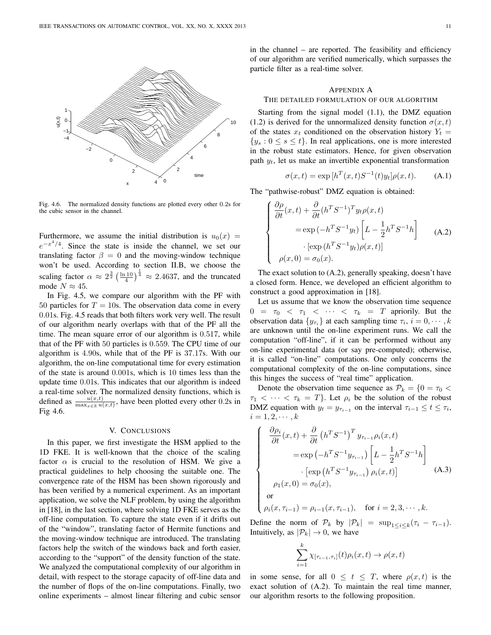

Fig. 4.6. The normalized density functions are plotted every other 0.2s for the cubic sensor in the channel.

Furthermore, we assume the initial distribution is  $u_0(x) =$  $e^{-x^4/4}$ . Since the state is inside the channel, we set our translating factor  $\beta = 0$  and the moving-window technique won't be used. According to section II.B, we choose the scaling factor  $\alpha \approx 2^{\frac{3}{2}} \left( \frac{\ln 10}{4} \right)^{\frac{1}{4}} \approx 2.4637$ , and the truncated mode  $N \approx 45$ .

In Fig. 4.5, we compare our algorithm with the PF with 50 particles for  $T = 10$ s. The observation data come in every 0.01s. Fig. 4.5 reads that both filters work very well. The result of our algorithm nearly overlaps with that of the PF all the time. The mean square error of our algorithm is 0.517, while that of the PF with 50 particles is 0.559. The CPU time of our algorithm is 4.90s, while that of the PF is 37.17s. With our algorithm, the on-line computational time for every estimation of the state is around 0.001s, which is 10 times less than the update time 0.01s. This indicates that our algorithm is indeed a real-time solver. The normalized density functions, which is defined as  $\frac{u(x,t)}{\max_{x \in \mathbb{R}} u(x,t)}$ , have been plotted every other 0.2s in Fig 4.6.

#### V. CONCLUSIONS

In this paper, we first investigate the HSM applied to the 1D FKE. It is well-known that the choice of the scaling factor  $\alpha$  is crucial to the resolution of HSM. We give a practical guidelines to help choosing the suitable one. The convergence rate of the HSM has been shown rigorously and has been verified by a numerical experiment. As an important application, we solve the NLF problem, by using the algorithm in [18], in the last section, where solving 1D FKE serves as the off-line computation. To capture the state even if it drifts out of the "window", translating factor of Hermite functions and the moving-window technique are introduced. The translating factors help the switch of the windows back and forth easier, according to the "support" of the density function of the state. We analyzed the computational complexity of our algorithm in detail, with respect to the storage capacity of off-line data and the number of flops of the on-line computations. Finally, two online experiments – almost linear filtering and cubic sensor in the channel – are reported. The feasibility and efficiency of our algorithm are verified numerically, which surpasses the particle filter as a real-time solver.

#### APPENDIX A

#### THE DETAILED FORMULATION OF OUR ALGORITHM

Starting from the signal model (1.1), the DMZ equation (1.2) is derived for the unnormalized density function  $\sigma(x, t)$ of the states  $x_t$  conditioned on the observation history  $Y_t =$  $\{y_s : 0 \le s \le t\}$ . In real applications, one is more interested in the robust state estimators. Hence, for given observation path  $y_t$ , let us make an invertible exponential transformation

$$
\sigma(x,t) = \exp[h^{T}(x,t)S^{-1}(t)y_t]\rho(x,t).
$$
 (A.1)

The "pathwise-robust" DMZ equation is obtained:

$$
\begin{cases}\n\frac{\partial \rho}{\partial t}(x,t) + \frac{\partial}{\partial t}(h^T S^{-1})^T y_t \rho(x,t) \\
= \exp(-h^T S^{-1} y_t) \left[ L - \frac{1}{2} h^T S^{-1} h \right] \\
\cdot \left[ \exp(h^T S^{-1} y_t) \rho(x,t) \right] \\
\rho(x,0) = \sigma_0(x).\n\end{cases} (A.2)
$$

The exact solution to (A.2), generally speaking, doesn't have a closed form. Hence, we developed an efficient algorithm to construct a good approximation in [18].

Let us assume that we know the observation time sequence  $0 = \tau_0 < \tau_1 < \cdots < \tau_k = T$  apriorily. But the observation data  $\{y_{\tau_i}\}\$ at each sampling time  $\tau_i$ ,  $i = 0, \dots, k$ are unknown until the on-line experiment runs. We call the computation "off-line", if it can be performed without any on-line experimental data (or say pre-computed); otherwise, it is called "on-line" computations. One only concerns the computational complexity of the on-line computations, since this hinges the success of "real time" application.

Denote the observation time sequence as  $\mathcal{P}_k = \{0 = \tau_0$  $\tau_1 < \cdots < \tau_k = T$ . Let  $\rho_i$  be the solution of the robust DMZ equation with  $y_t = y_{\tau_{i-1}}$  on the interval  $\tau_{i-1} \le t \le \tau_i$ ,  $i = 1, 2, \cdots, k$ 

$$
\begin{cases}\n\frac{\partial \rho_i}{\partial t}(x,t) + \frac{\partial}{\partial t} \left( h^T S^{-1} \right)^T y_{\tau_{i-1}} \rho_i(x,t) \\
= \exp \left( -h^T S^{-1} y_{\tau_{i-1}} \right) \left[ L - \frac{1}{2} h^T S^{-1} h \right] \\
\cdot \left[ \exp \left( h^T S^{-1} y_{\tau_{i-1}} \right) \rho_i(x,t) \right] \\
\rho_1(x,0) = \sigma_0(x), \\
\text{or} \\
\rho_i(x,\tau_{i-1}) = \rho_{i-1}(x,\tau_{i-1}), \quad \text{for } i = 2, 3, \cdots, k.\n\end{cases} (A.3)
$$

 $\left[ \rho_i(x, \tau_{i-1}) = \rho_{i-1}(x, \tau_{i-1}), \right]$  for  $i = 2, 3, \cdots, k$ .

Define the norm of  $\mathcal{P}_k$  by  $|\mathcal{P}_k| = \sup_{1 \le i \le k} (\tau_i - \tau_{i-1}).$ Intuitively, as  $|\mathcal{P}_k| \to 0$ , we have

$$
\sum_{i=1}^k \chi_{[\tau_{i-1},\tau_i]}(t)\rho_i(x,t) \to \rho(x,t)
$$

in some sense, for all  $0 \le t \le T$ , where  $\rho(x, t)$  is the exact solution of (A.2). To maintain the real time manner, our algorithm resorts to the following proposition.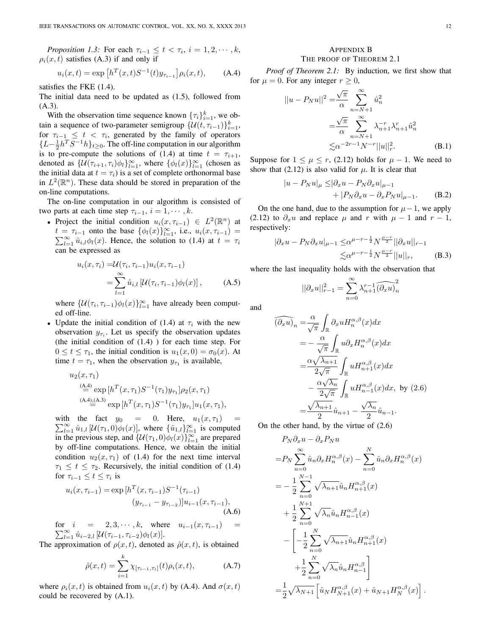*Proposition 1.3:* For each  $\tau_{i-1} \leq t < \tau_i$ ,  $i = 1, 2, \cdots, k$ ,  $\rho_i(x, t)$  satisfies (A.3) if and only if

$$
u_i(x,t) = \exp\left[h^T(x,t)S^{-1}(t)y_{\tau_{i-1}}\right]\rho_i(x,t), \quad (A.4)
$$

satisfies the FKE (1.4).

The initial data need to be updated as (1.5), followed from (A.3).

With the observation time sequence known  $\{\tau_i\}_{i=1}^k$ , we obtain a sequence of two-parameter semigroup  $\{\mathcal{U}(t, \tau_{i-1})\}_{i=1}^k$ , for  $\tau_{i-1} \leq t < \tau_i$ , generated by the family of operators  ${L-\frac{1}{2}h^T S^{-1}h}_{t\geq 0}$ . The off-line computation in our algorithm is to pre-compute the solutions of (1.4) at time  $t = \tau_{i+1}$ , denoted as  $\{U(\tau_{i+1}, \tau_i)\phi_l\}_{l=1}^{\infty}$ , where  $\{\phi_l(x)\}_{l=1}^{\infty}$  (chosen as the initial data at  $t = \tau_i$ ) is a set of complete orthonormal base in  $L^2(\mathbb{R}^n)$ . These data should be stored in preparation of the on-line computations.

The on-line computation in our algorithm is consisted of two parts at each time step  $\tau_{i-1}, i = 1, \cdots, k$ .

• Project the initial condition  $u_i(x, \tau_{i-1}) \in L^2(\mathbb{R}^n)$  at  $t = \tau_{i-1}$  onto the base  $\{\phi_l(x)\}_{l=1}^{\infty}$ , i.e.,  $u_i(x, \tau_{i-1}) =$  $\sum_{l=1}^{\infty} \hat{u}_{i,l} \phi_l(x)$ . Hence, the solution to (1.4) at  $t = \tau_i$ can be expressed as

$$
u_i(x, \tau_i) = \mathcal{U}(\tau_i, \tau_{i-1}) u_i(x, \tau_{i-1})
$$
  
= 
$$
\sum_{l=1}^{\infty} \hat{u}_{i,l} [\mathcal{U}(\tau_i, \tau_{i-1}) \phi_l(x)],
$$
 (A.5)

where  $\{U(\tau_i, \tau_{i-1})\phi_l(x)\}_{l=1}^{\infty}$  have already been computed off-line.

• Update the initial condition of (1.4) at  $\tau_i$  with the new observation  $y_{\tau_i}$ . Let us specify the observation updates (the initial condition of  $(1.4)$ ) for each time step. For  $0 \le t \le \tau_1$ , the initial condition is  $u_1(x, 0) = \sigma_0(x)$ . At time  $t = \tau_1$ , when the observation  $y_{\tau_1}$  is available,

$$
u_2(x, \tau_1)
$$
  
\n
$$
\stackrel{\text{(A.4)}}{=} \exp\left[h^T(x, \tau_1)S^{-1}(\tau_1)y_{\tau_1}\right]\rho_2(x, \tau_1)
$$
  
\n
$$
\stackrel{\text{(A.4)}.(A.3)}{=} \exp\left[h^T(x, \tau_1)S^{-1}(\tau_1)y_{\tau_1}\right]u_1(x, \tau_1),
$$

with the fact  $y_0 = 0$ . Here,  $u_1(x, \tau_1) =$  $\sum_{l=1}^{\infty} \hat{u}_{1,l} [\mathcal{U}(\tau_1,0)\phi_l(x)]$ , where  $\{\hat{u}_{1,l}\}_{l=1}^{\infty}$  is computed in the previous step, and  $\{U(\tau_1, 0)\phi_l(x)\}_{l=1}^{\infty}$  are prepared by off-line computations. Hence, we obtain the initial condition  $u_2(x, \tau_1)$  of (1.4) for the next time interval  $\tau_1 \leq t \leq \tau_2$ . Recursively, the initial condition of (1.4) for  $\tau_{i-1} \leq t \leq \tau_i$  is

$$
u_i(x, \tau_{i-1}) = \exp\left[h^T(x, \tau_{i-1})S^{-1}(\tau_{i-1})\right] (y_{\tau_{i-1}} - y_{\tau_{i-2}})]u_{i-1}(x, \tau_{i-1}),
$$
 (A.6)

 $\sum_{l=1}^{\infty} \hat{u}_{i-2,l} [\mathcal{U}(\tau_{i-1}, \tau_{i-2}) \phi_l(x)].$ for  $i = 2, 3, \dots, k$ , where  $u_{i-1}(x, \tau_{i-1}) =$ 

The approximation of  $\rho(x, t)$ , denoted as  $\hat{\rho}(x, t)$ , is obtained

$$
\hat{\rho}(x,t) = \sum_{i=1}^{k} \chi_{[\tau_{i-1},\tau_i]}(t)\rho_i(x,t),
$$
\n(A.7)

where  $\rho_i(x, t)$  is obtained from  $u_i(x, t)$  by (A.4). And  $\sigma(x, t)$ could be recovered by (A.1).

## APPENDIX B

# THE PROOF OF THEOREM 2.1

*Proof of Theorem 2.1:* By induction, we first show that for  $\mu = 0$ . For any integer  $r > 0$ ,

$$
||u - P_N u||^2 = \frac{\sqrt{\pi}}{\alpha} \sum_{n=N+1}^{\infty} \hat{u}_n^2
$$
  
=  $\frac{\sqrt{\pi}}{\alpha} \sum_{n=N+1}^{\infty} \lambda_{n+1}^{-r} \lambda_{n+1}^r \hat{u}_n^2$   
 $\leq \alpha^{-2r-1} N^{-r} ||u||_r^2.$  (B.1)

Suppose for  $1 \leq \mu \leq r$ , (2.12) holds for  $\mu - 1$ . We need to show that (2.12) is also valid for  $\mu$ . It is clear that

$$
|u - P_N u|_{\mu} \leq |\partial_x u - P_N \partial_x u|_{\mu - 1}
$$
  
+ 
$$
|P_N \partial_x u - \partial_x P_N u|_{\mu - 1}.
$$
 (B.2)

On the one hand, due to the assumption for  $\mu-1$ , we apply (2.12) to  $\partial_x u$  and replace  $\mu$  and r with  $\mu - 1$  and  $r - 1$ , respectively:

$$
\begin{aligned} |\partial_x u - P_N \partial_x u|_{\mu - 1} &\leq \! \alpha^{\mu - r - \frac{1}{2}} N^{\frac{\mu - r}{2}} ||\partial_x u||_{r - 1} \\ &\leq \! \alpha^{\mu - r - \frac{1}{2}} N^{\frac{\mu - r}{2}} ||u||_r, \end{aligned} \tag{B.3}
$$

where the last inequality holds with the observation that

$$
||\partial_x u||^2_{r-1}=\sum_{n=0}^\infty \lambda^{r-1}_{n+1}\widehat{(\partial_x u)}^2_n
$$

and

$$
\widehat{(\partial_x u)}_n = \frac{\alpha}{\sqrt{\pi}} \int_{\mathbb{R}} \partial_x u H_n^{\alpha,\beta}(x) dx
$$
  
\n
$$
= -\frac{\alpha}{\sqrt{\pi}} \int_{\mathbb{R}} u \partial_x H_n^{\alpha,\beta}(x) dx
$$
  
\n
$$
= \frac{\alpha \sqrt{\lambda_{n+1}}}{2\sqrt{\pi}} \int_{\mathbb{R}} u H_{n+1}^{\alpha,\beta}(x) dx
$$
  
\n
$$
- \frac{\alpha \sqrt{\lambda_n}}{2\sqrt{\pi}} \int_{\mathbb{R}} u H_{n-1}^{\alpha,\beta}(x) dx, \text{ by (2.6)}
$$
  
\n
$$
= \frac{\sqrt{\lambda_{n+1}}}{2} \hat{u}_{n+1} - \frac{\sqrt{\lambda_n}}{2} \hat{u}_{n-1}.
$$

On the other hand, by the virtue of (2.6)

$$
P_N \partial_x u - \partial_x P_N u
$$
  
\n
$$
= P_N \sum_{n=0}^{\infty} \hat{u}_n \partial_x H_n^{\alpha,\beta}(x) - \sum_{n=0}^N \hat{u}_n \partial_x H_n^{\alpha,\beta}(x)
$$
  
\n
$$
= -\frac{1}{2} \sum_{n=0}^{N-1} \sqrt{\lambda_{n+1}} \hat{u}_n H_{n+1}^{\alpha,\beta}(x)
$$
  
\n
$$
+ \frac{1}{2} \sum_{n=0}^{N+1} \sqrt{\lambda_n} \hat{u}_n H_{n-1}^{\alpha,\beta}(x)
$$
  
\n
$$
- \left[ -\frac{1}{2} \sum_{n=0}^N \sqrt{\lambda_{n+1}} \hat{u}_n H_{n+1}^{\alpha,\beta}(x) + \frac{1}{2} \sum_{n=0}^N \sqrt{\lambda_n} \hat{u}_n H_{n-1}^{\alpha,\beta} \right]
$$
  
\n
$$
= \frac{1}{2} \sqrt{\lambda_{N+1}} \left[ \hat{u}_N H_{N+1}^{\alpha,\beta}(x) + \hat{u}_{N+1} H_N^{\alpha,\beta}(x) \right]
$$

.